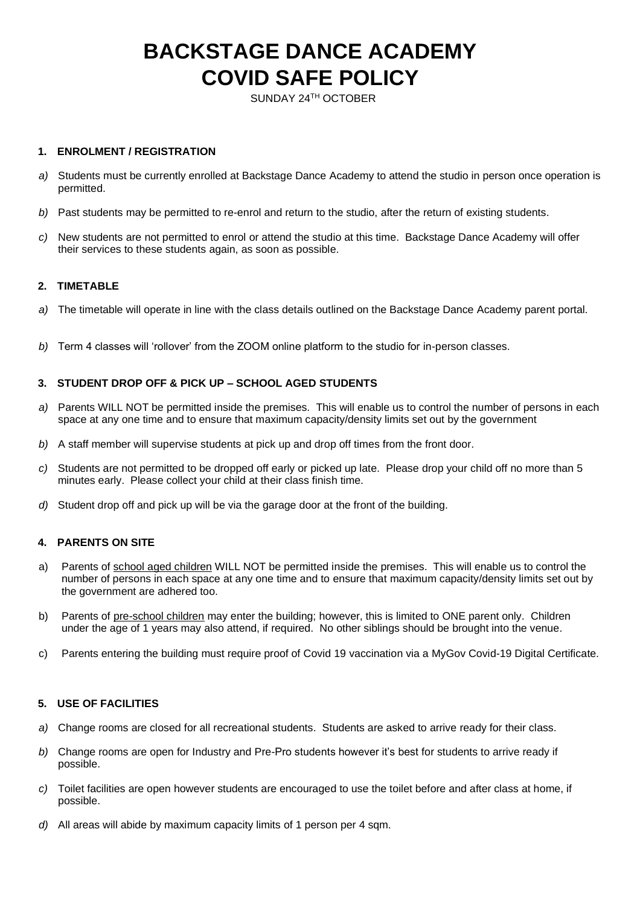# **BACKSTAGE DANCE ACADEMY COVID SAFE POLICY**

SUNDAY 24TH OCTOBER

## **1. ENROLMENT / REGISTRATION**

- *a)* Students must be currently enrolled at Backstage Dance Academy to attend the studio in person once operation is permitted.
- *b)* Past students may be permitted to re-enrol and return to the studio, after the return of existing students.
- *c)* New students are not permitted to enrol or attend the studio at this time. Backstage Dance Academy will offer their services to these students again, as soon as possible.

#### **2. TIMETABLE**

- *a)* The timetable will operate in line with the class details outlined on the Backstage Dance Academy parent portal.
- *b)* Term 4 classes will 'rollover' from the ZOOM online platform to the studio for in-person classes.

# **3. STUDENT DROP OFF & PICK UP – SCHOOL AGED STUDENTS**

- *a)* Parents WILL NOT be permitted inside the premises. This will enable us to control the number of persons in each space at any one time and to ensure that maximum capacity/density limits set out by the government
- *b)* A staff member will supervise students at pick up and drop off times from the front door.
- *c)* Students are not permitted to be dropped off early or picked up late. Please drop your child off no more than 5 minutes early. Please collect your child at their class finish time.
- *d)* Student drop off and pick up will be via the garage door at the front of the building.

# **4. PARENTS ON SITE**

- a) Parents of school aged children WILL NOT be permitted inside the premises. This will enable us to control the number of persons in each space at any one time and to ensure that maximum capacity/density limits set out by the government are adhered too.
- b) Parents of pre-school children may enter the building; however, this is limited to ONE parent only. Children under the age of 1 years may also attend, if required. No other siblings should be brought into the venue.
- c) Parents entering the building must require proof of Covid 19 vaccination via a MyGov Covid-19 Digital Certificate.

#### **5. USE OF FACILITIES**

- *a)* Change rooms are closed for all recreational students. Students are asked to arrive ready for their class.
- *b)* Change rooms are open for Industry and Pre-Pro students however it's best for students to arrive ready if possible.
- *c)* Toilet facilities are open however students are encouraged to use the toilet before and after class at home, if possible.
- *d)* All areas will abide by maximum capacity limits of 1 person per 4 sqm.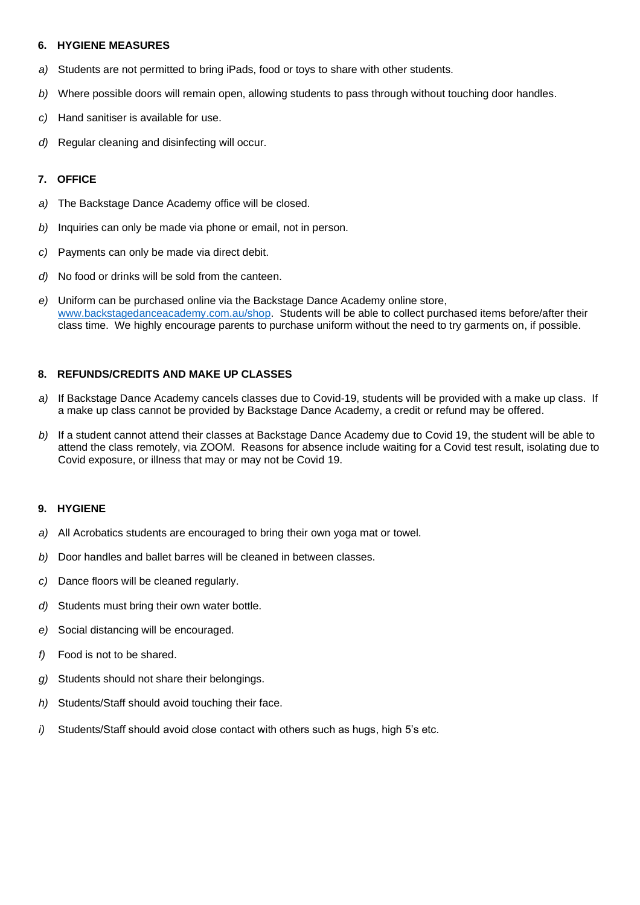### **6. HYGIENE MEASURES**

- *a)* Students are not permitted to bring iPads, food or toys to share with other students.
- *b)* Where possible doors will remain open, allowing students to pass through without touching door handles.
- *c)* Hand sanitiser is available for use.
- *d)* Regular cleaning and disinfecting will occur.

## **7. OFFICE**

- *a)* The Backstage Dance Academy office will be closed.
- *b)* Inquiries can only be made via phone or email, not in person.
- *c)* Payments can only be made via direct debit.
- *d)* No food or drinks will be sold from the canteen.
- *e)* Uniform can be purchased online via the Backstage Dance Academy online store, [www.backstagedanceacademy.com.au/shop.](http://www.backstagedanceacademy.com.au/shop) Students will be able to collect purchased items before/after their class time. We highly encourage parents to purchase uniform without the need to try garments on, if possible.

# **8. REFUNDS/CREDITS AND MAKE UP CLASSES**

- *a)* If Backstage Dance Academy cancels classes due to Covid-19, students will be provided with a make up class. If a make up class cannot be provided by Backstage Dance Academy, a credit or refund may be offered.
- *b)* If a student cannot attend their classes at Backstage Dance Academy due to Covid 19, the student will be able to attend the class remotely, via ZOOM. Reasons for absence include waiting for a Covid test result, isolating due to Covid exposure, or illness that may or may not be Covid 19.

#### **9. HYGIENE**

- *a)* All Acrobatics students are encouraged to bring their own yoga mat or towel.
- *b)* Door handles and ballet barres will be cleaned in between classes.
- *c)* Dance floors will be cleaned regularly.
- *d)* Students must bring their own water bottle.
- *e)* Social distancing will be encouraged.
- *f)* Food is not to be shared.
- *g)* Students should not share their belongings.
- *h)* Students/Staff should avoid touching their face.
- *i)* Students/Staff should avoid close contact with others such as hugs, high 5's etc.